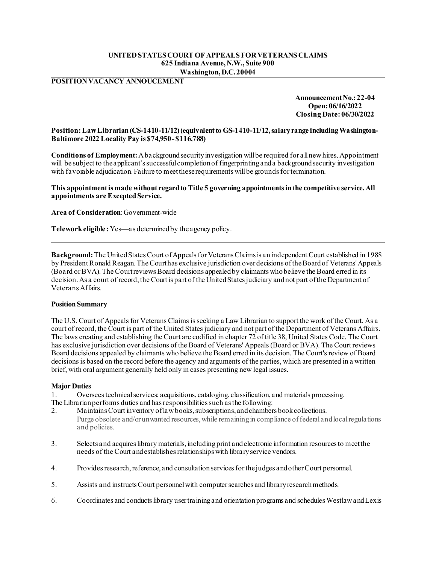# **UNITED STATES COURT OF APPEALS FOR VETERANS CLAIMS 625 Indiana Avenue, N.W., Suite 900 Washington, D.C. 20004**

**POSITION VACANCY ANNOUCEMENT**

**Announcement No.: 22-04 Open: 06/16/2022 Closing Date: 06/30/2022** 

### **Position:Law Librarian (CS-1410-11/12) (equivalent to GS-1410-11/12, salary range including Washington-Baltimore 2022 Locality Pay is \$74,950- \$116,788)**

**Conditions of Employment:** A background security investigation will be required for all new hires. Appointment will be subject to the applicant's successful completion of fingerprinting and a background security investigation with favorable adjudication. Failure to meet these requirements will be grounds for termination.

**This appointment is made without regard to Title 5 governing appointments in the competitive service. All appointments are Excepted Service.**

**Area of Consideration**:Government-wide

**Telework eligible :**Yes—as determined by the agency policy.

**Background:** The United States Court of Appeals for Veterans Claims is an independent Court established in 1988 by President Ronald Reagan. The Court has exclusive jurisdiction over decisions of the Board of Veterans' Appeals (Board or BVA). The Court reviews Board decisions appealed by claimants who believe the Board erred in its decision.As a court of record, the Court is part of the United States judiciary and not part of the Department of Veterans Affairs.

### **Position Summary**

The U.S. Court of Appeals for Veterans Claims is seeking a Law Librarian to support the work of the Court. As a court of record, the Court is part of the United States judiciary and not part of the Department of Veterans Affairs. The laws creating and establishing the Court are codified in chapter 72 of title 38, United States Code. The Court has exclusive jurisdiction over decisions of the Board of Veterans' Appeals (Board or BVA). The Court reviews Board decisions appealed by claimants who believe the Board erred in its decision. The Court's review of Board decisions is based on the record before the agency and arguments of the parties, which are presented in a written brief, with oral argument generally held only in cases presenting new legal issues.

### **Major Duties**

The Librarian performs duties and has responsibilities such as the following:<br>2. Maintains Court inventory of law books, subscriptions, and chamber 1. Oversees technical services: acquisitions, cataloging, classification, and materials processing.

- Maintains Court inventory of law books, subscriptions, and chambers book collections. Purge obsolete and/or unwanted resources, while remaining in compliance of federal and local regulations and policies.
- 3. Selects and acquires library materials, including print and electronic information resources to meet the needs of the Court and establishes relationships with library service vendors.
- 4. Provides research, reference, and consultation services for the judges and other Court personnel.
- 5. Assists and instructs Court personnel with computer searches and library research methods.
- 6. Coordinates and conducts library user training and orientation programs and schedules Westlaw and Lexis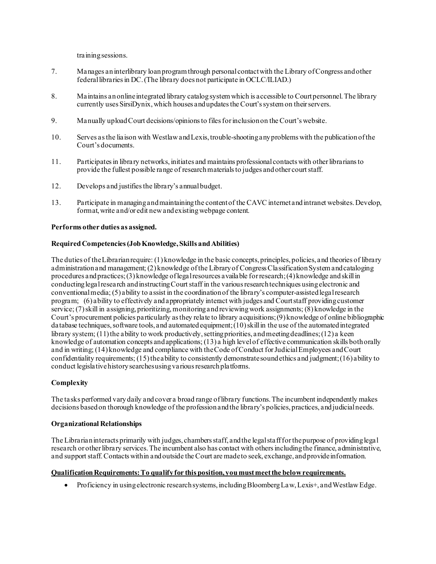training sessions.

- 7. Manages an interlibrary loan programthrough personal contact with the Library of Congress and other federal libraries in DC. (The library does not participate in OCLC/ILIAD.)
- 8. Maintains an online integrated library catalog system which is accessible to Court personnel. The library currently uses SirsiDynix, which houses and updates the Court's system on their servers.
- 9. Manually upload Court decisions/opinions to files for inclusion on the Court's website.
- 10. Serves as the liaison with Westlaw and Lexis, trouble-shooting any problems with the publication of the Court's documents.
- 11. Participates in library networks, initiates and maintains professional contacts with other librarians to provide the fullest possible range of research materials to judges and other court staff.
- 12. Develops and justifies the library's annual budget.
- 13. Participate in managing and maintaining the content of the CAVC internet and intranet websites. Develop, format, write and/or edit new and existing webpage content.

### **Performs other duties as assigned.**

### **Required Competencies (Job Knowledge, Skills and Abilities)**

The duties of the Librarian require: (1) knowledge in the basic concepts, principles, policies, and theories of library administration and management; (2) knowledge of the Library of Congress Classification System and cataloging procedures and practices; (3) knowledge of legal resources available for research; (4) knowledge and skill in conducting legal research and instructing Court staff in the various research techniques using electronic and conventional media; (5) ability to assist in the coordination of the library's computer-assisted legal research program; (6) ability to effectively and appropriately interact with judges and Court staff providing customer service; (7) skill in assigning, prioritizing, monitoring and reviewing work assignments; (8) knowledge in the Court's procurement policies particularly as they relate to library acquisitions; (9) knowledge of online bibliographic database techniques, software tools, and automated equipment; (10) skill in the use of the automated integrated library system; (11) the ability to work productively, setting priorities, and meeting deadlines; (12) a keen knowledge of automation concepts and applications; (13) a high level of effective communication skills both orally and in writing; (14) knowledge and compliance with the Code of Conduct for Judicial Employees and Court confidentiality requirements;  $(15)$  the ability to consistently demonstrate sound ethics and judgment;  $(16)$  ability to conduct legislative history searches using various research platforms.

### **Complexity**

The tasks performed vary daily and cover a broad range of library functions. The incumbent independently makes decisions based on thorough knowledge of the profession and the library's policies, practices, and judicial needs.

#### **Organizational Relationships**

The Librarian interacts primarily with judges, chambers staff, and the legal staff for the purpose of providing legal research or other library services. The incumbent also has contact with others including the finance, administrative, and support staff. Contacts within and outside the Court are made to seek, exchange, and provide information.

### **Qualification Requirements: To qualify for this position, you must meet the below requirements.**

• Proficiency in using electronic research systems, including Bloomberg Law, Lexis+, and Westlaw Edge.